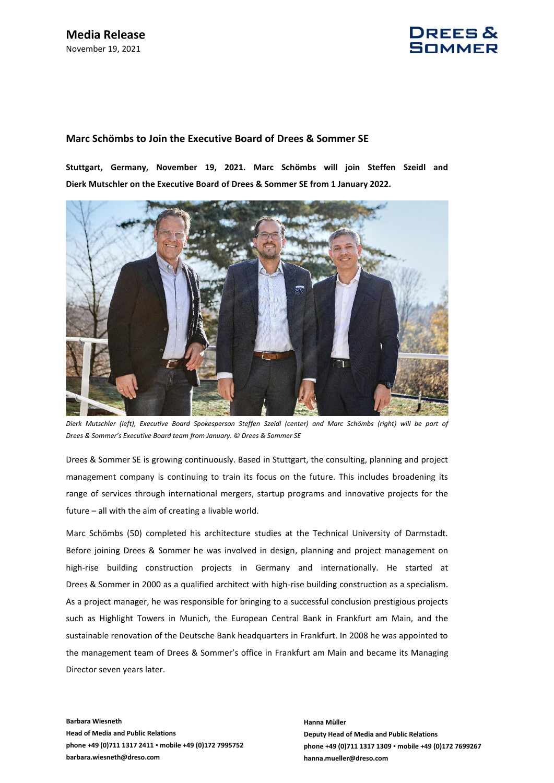

## **Marc Schömbs to Join the Executive Board of Drees & Sommer SE**

**Stuttgart, Germany, November 19, 2021. Marc Schömbs will join Steffen Szeidl and Dierk Mutschler on the Executive Board of Drees & Sommer SE from 1 January 2022.** 



*Dierk Mutschler (left), Executive Board Spokesperson Steffen Szeidl (center) and Marc Schömbs (right) will be part of Drees & Sommer's Executive Board team from January. © Drees & Sommer SE*

Drees & Sommer SE is growing continuously. Based in Stuttgart, the consulting, planning and project management company is continuing to train its focus on the future. This includes broadening its range of services through international mergers, startup programs and innovative projects for the future – all with the aim of creating a livable world.

Marc Schömbs (50) completed his architecture studies at the Technical University of Darmstadt. Before joining Drees & Sommer he was involved in design, planning and project management on high-rise building construction projects in Germany and internationally. He started at Drees & Sommer in 2000 as a qualified architect with high-rise building construction as a specialism. As a project manager, he was responsible for bringing to a successful conclusion prestigious projects such as Highlight Towers in Munich, the European Central Bank in Frankfurt am Main, and the sustainable renovation of the Deutsche Bank headquarters in Frankfurt. In 2008 he was appointed to the management team of Drees & Sommer's office in Frankfurt am Main and became its Managing Director seven years later.

**Barbara Wiesneth Head of Media and Public Relations phone +49 (0)711 1317 2411 ▪ mobile +49 (0)172 7995752 barbara.wiesneth@dreso.com**

**Hanna Müller Deputy Head of Media and Public Relations phone +49 (0)711 1317 1309 ▪ mobile +49 (0)172 7699267 hanna.mueller@dreso.com**